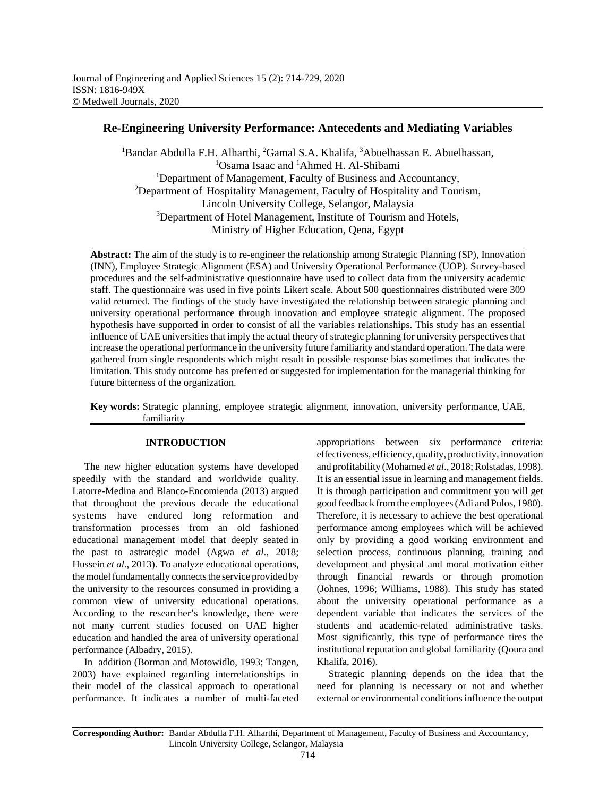# **Re-Engineering University Performance: Antecedents and Mediating Variables**

<sup>1</sup>Bandar Abdulla F.H. Alharthi, <sup>2</sup>Gamal S.A. Khalifa, <sup>3</sup>Abuelhassan E. Abuelhassan, <sup>1</sup>Osama Isaac and <sup>1</sup>Ahmed H. Al-Shibami <sup>1</sup>Department of Management, Faculty of Business and Accountancy, <sup>2</sup>Department of Hospitality Management, Faculty of Hospitality and Tourism, Lincoln University College, Selangor, Malaysia <sup>3</sup>Department of Hotel Management, Institute of Tourism and Hotels, Ministry of Higher Education, Qena, Egypt

**Abstract:** The aim of the study is to re-engineer the relationship among Strategic Planning (SP), Innovation (INN), Employee Strategic Alignment (ESA) and University Operational Performance (UOP). Survey-based procedures and the self-administrative questionnaire have used to collect data from the university academic staff. The questionnaire was used in five points Likert scale. About 500 questionnaires distributed were 309 valid returned. The findings of the study have investigated the relationship between strategic planning and university operational performance through innovation and employee strategic alignment. The proposed hypothesis have supported in order to consist of all the variables relationships. This study has an essential influence of UAE universities that imply the actual theory of strategic planning for university perspectives that increase the operational performance in the university future familiarity and standard operation. The data were gathered from single respondents which might result in possible response bias sometimes that indicates the limitation. This study outcome has preferred or suggested for implementation for the managerial thinking for future bitterness of the organization.

**Key words:** Strategic planning, employee strategic alignment, innovation, university performance, UAE, familiarity

## **INTRODUCTION**

The new higher education systems have developed speedily with the standard and worldwide quality. Latorre-Medina and Blanco-Encomienda (2013) argued that throughout the previous decade the educational systems have endured long reformation and transformation processes from an old fashioned educational management model that deeply seated in the past to astrategic model (Agwa *et al*., 2018; Hussein *et al*., 2013). To analyze educational operations, the model fundamentally connects the service provided by the university to the resources consumed in providing a common view of university educational operations. According to the researcher's knowledge, there were not many current studies focused on UAE higher education and handled the area of university operational performance (Albadry, 2015).

In addition (Borman and Motowidlo, 1993; Tangen, 2003) have explained regarding interrelationships in their model of the classical approach to operational performance. It indicates a number of multi-faceted

appropriations between six performance criteria: effectiveness, efficiency, quality, productivity, innovation and profitability (Mohamed *et al*., 2018; Rolstadas, 1998). It is an essential issue in learning and management fields. It is through participation and commitment you will get good feedback from the employees (Adi and Pulos, 1980). Therefore, it is necessary to achieve the best operational performance among employees which will be achieved only by providing a good working environment and selection process, continuous planning, training and development and physical and moral motivation either through financial rewards or through promotion (Johnes, 1996; Williams, 1988). This study has stated about the university operational performance as a dependent variable that indicates the services of the students and academic-related administrative tasks. Most significantly, this type of performance tires the institutional reputation and global familiarity (Qoura and Khalifa, 2016).

Strategic planning depends on the idea that the need for planning is necessary or not and whether external or environmental conditions influence the output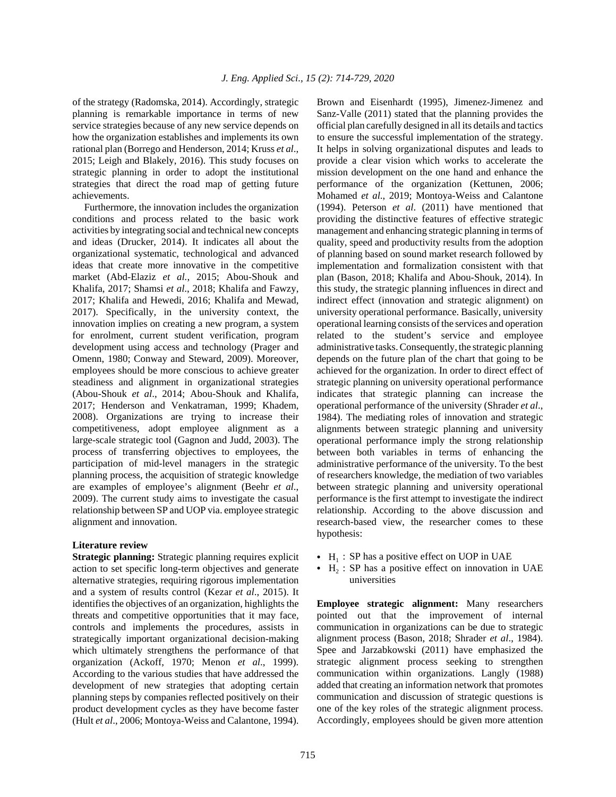of the strategy (Radomska, 2014). Accordingly, strategic planning is remarkable importance in terms of new service strategies because of any new service depends on how the organization establishes and implements its own rational plan (Borrego and Henderson, 2014; Kruss *et al*., 2015; Leigh and Blakely, 2016). This study focuses on strategic planning in order to adopt the institutional strategies that direct the road map of getting future achievements.

Furthermore, the innovation includes the organization conditions and process related to the basic work activities by integrating social and technical new concepts and ideas (Drucker, 2014). It indicates all about the organizational systematic, technological and advanced ideas that create more innovative in the competitive market (Abd-Elaziz *et al.*, 2015; Abou-Shouk and Khalifa, 2017; Shamsi *et al*., 2018; Khalifa and Fawzy, 2017; Khalifa and Hewedi, 2016; Khalifa and Mewad, 2017). Specifically, in the university context, the innovation implies on creating a new program, a system for enrolment, current student verification, program development using access and technology (Prager and Omenn, 1980; Conway and Steward, 2009). Moreover, employees should be more conscious to achieve greater steadiness and alignment in organizational strategies (Abou-Shouk *et al*., 2014; Abou-Shouk and Khalifa, 2017; Henderson and Venkatraman, 1999; Khadem, 2008). Organizations are trying to increase their competitiveness, adopt employee alignment as a large-scale strategic tool (Gagnon and Judd, 2003). The process of transferring objectives to employees, the participation of mid-level managers in the strategic planning process, the acquisition of strategic knowledge are examples of employee's alignment (Beehr *et al*., 2009). The current study aims to investigate the casual relationship between SP and UOP via. employee strategic alignment and innovation.

#### **Literature review**

**Strategic planning:** Strategic planning requires explicit action to set specific long-term objectives and generate alternative strategies, requiring rigorous implementation and a system of results control (Kezar *et al*., 2015). It identifies the objectives of an organization, highlights the threats and competitive opportunities that it may face, controls and implements the procedures, assists in strategically important organizational decision-making which ultimately strengthens the performance of that organization (Ackoff, 1970; Menon *et al*., 1999). According to the various studies that have addressed the development of new strategies that adopting certain planning steps by companies reflected positively on their product development cycles as they have become faster (Hult *et al*., 2006; Montoya-Weiss and Calantone, 1994).

Brown and Eisenhardt (1995), Jimenez-Jimenez and Sanz-Valle (2011) stated that the planning provides the official plan carefully designed in all its details and tactics to ensure the successful implementation of the strategy. It helps in solving organizational disputes and leads to provide a clear vision which works to accelerate the mission development on the one hand and enhance the performance of the organization (Kettunen, 2006; Mohamed *et al*., 2019; Montoya-Weiss and Calantone (1994). Peterson *et al*. (2011) have mentioned that providing the distinctive features of effective strategic management and enhancing strategic planning in terms of quality, speed and productivity results from the adoption of planning based on sound market research followed by implementation and formalization consistent with that plan (Bason, 2018; Khalifa and Abou-Shouk, 2014). In this study, the strategic planning influences in direct and indirect effect (innovation and strategic alignment) on university operational performance. Basically, university operational learning consists of the services and operation related to the student's service and employee administrative tasks. Consequently, the strategic planning depends on the future plan of the chart that going to be achieved for the organization. In order to direct effect of strategic planning on university operational performance indicates that strategic planning can increase the operational performance of the university (Shrader *et al*., 1984). The mediating roles of innovation and strategic alignments between strategic planning and university operational performance imply the strong relationship between both variables in terms of enhancing the administrative performance of the university. To the best of researchers knowledge, the mediation of two variables between strategic planning and university operational performance is the first attempt to investigate the indirect relationship. According to the above discussion and research-based view, the researcher comes to these hypothesis:

- $\bullet$  H<sub>1</sub> : SP has a positive effect on UOP in UAE
- $\bullet$  H<sub>2</sub> : SP has a positive effect on innovation in UAE universities

**Employee strategic alignment:** Many researchers pointed out that the improvement of internal communication in organizations can be due to strategic alignment process (Bason, 2018; Shrader *et al*., 1984). Spee and Jarzabkowski (2011) have emphasized the strategic alignment process seeking to strengthen communication within organizations. Langly (1988) added that creating an information network that promotes communication and discussion of strategic questions is one of the key roles of the strategic alignment process. Accordingly, employees should be given more attention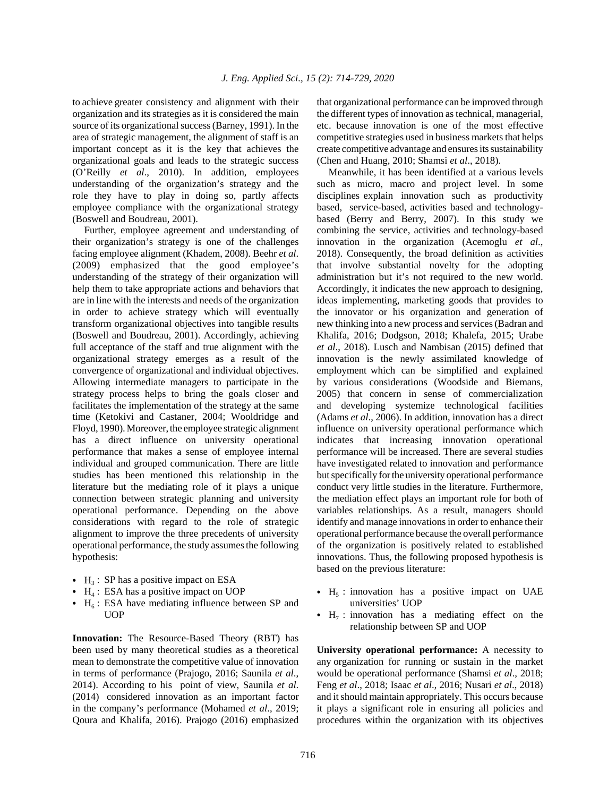to achieve greater consistency and alignment with their organization and its strategies as it is considered the main source of its organizational success (Barney, 1991). In the area of strategic management, the alignment of staff is an important concept as it is the key that achieves the organizational goals and leads to the strategic success (O'Reilly *et al*., 2010). In addition, employees understanding of the organization's strategy and the role they have to play in doing so, partly affects employee compliance with the organizational strategy (Boswell and Boudreau, 2001).

Further, employee agreement and understanding of their organization's strategy is one of the challenges facing employee alignment (Khadem, 2008). Beehr *et al*. (2009) emphasized that the good employee's understanding of the strategy of their organization will help them to take appropriate actions and behaviors that are in line with the interests and needs of the organization in order to achieve strategy which will eventually transform organizational objectives into tangible results (Boswell and Boudreau, 2001). Accordingly, achieving full acceptance of the staff and true alignment with the organizational strategy emerges as a result of the convergence of organizational and individual objectives. Allowing intermediate managers to participate in the strategy process helps to bring the goals closer and facilitates the implementation of the strategy at the same time (Ketokivi and Castaner, 2004; Wooldridge and Floyd, 1990). Moreover, the employee strategic alignment has a direct influence on university operational performance that makes a sense of employee internal individual and grouped communication. There are little studies has been mentioned this relationship in the literature but the mediating role of it plays a unique connection between strategic planning and university operational performance. Depending on the above considerations with regard to the role of strategic alignment to improve the three precedents of university operational performance, the study assumes the following hypothesis:

- $\bullet$  H<sub>3</sub> : SP has a positive impact on ESA
- $\bullet$  H<sub>4</sub> : ESA has a positive impact on UOP
- $\bullet$  H<sub>6</sub>: ESA have mediating influence between SP and **UOP**

**Innovation:** The Resource-Based Theory (RBT) has been used by many theoretical studies as a theoretical mean to demonstrate the competitive value of innovation in terms of performance (Prajogo, 2016; Saunila *et al*., 2014). According to his point of view, Saunila *et al*. (2014) considered innovation as an important factor in the company's performance (Mohamed *et al*., 2019; Qoura and Khalifa, 2016). Prajogo (2016) emphasized

that organizational performance can be improved through the different types of innovation as technical, managerial, etc. because innovation is one of the most effective competitive strategies used in business markets that helps create competitive advantage and ensures its sustainability (Chen and Huang, 2010; Shamsi *et al*., 2018).

Meanwhile, it has been identified at a various levels such as micro, macro and project level. In some disciplines explain innovation such as productivity based, service-based, activities based and technologybased (Berry and Berry, 2007). In this study we combining the service, activities and technology-based innovation in the organization (Acemoglu *et al*., 2018). Consequently, the broad definition as activities that involve substantial novelty for the adopting administration but it's not required to the new world. Accordingly, it indicates the new approach to designing, ideas implementing, marketing goods that provides to the innovator or his organization and generation of new thinking into a new process and services (Badran and Khalifa, 2016; Dodgson, 2018; Khalefa, 2015; Urabe *et al*., 2018). Lusch and Nambisan (2015) defined that innovation is the newly assimilated knowledge of employment which can be simplified and explained by various considerations (Woodside and Biemans, 2005) that concern in sense of commercialization and developing systemize technological facilities (Adams *et al*., 2006). In addition, innovation has a direct influence on university operational performance which indicates that increasing innovation operational performance will be increased. There are several studies have investigated related to innovation and performance but specifically for the university operational performance conduct very little studies in the literature. Furthermore, the mediation effect plays an important role for both of variables relationships. As a result, managers should identify and manage innovations in order to enhance their operational performance because the overall performance of the organization is positively related to established innovations. Thus, the following proposed hypothesis is based on the previous literature:

- $\bullet$  H<sub>5</sub> : innovation has a positive impact on UAE universities' UOP
- $\bullet$  H<sub>7</sub> : innovation has a mediating effect on the relationship between SP and UOP

**University operational performance:** A necessity to any organization for running or sustain in the market would be operational performance (Shamsi *et al*., 2018; Feng *et al*., 2018; Isaac *et al*., 2016; Nusari *et al*., 2018) and it should maintain appropriately. This occurs because it plays a significant role in ensuring all policies and procedures within the organization with its objectives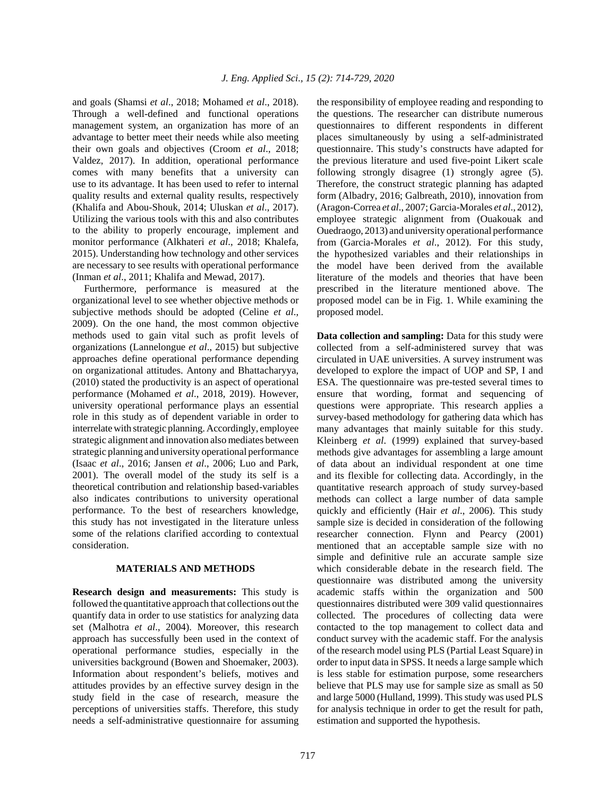and goals (Shamsi *et al*., 2018; Mohamed *et al*., 2018). Through a well-defined and functional operations management system, an organization has more of an advantage to better meet their needs while also meeting their own goals and objectives (Croom *et al*., 2018; Valdez, 2017). In addition, operational performance comes with many benefits that a university can use to its advantage. It has been used to refer to internal quality results and external quality results, respectively (Khalifa and Abou-Shouk, 2014; Uluskan *et al*., 2017). Utilizing the various tools with this and also contributes to the ability to properly encourage, implement and monitor performance (Alkhateri *et al*., 2018; Khalefa, 2015). Understanding how technology and other services are necessary to see results with operational performance (Inman *et al*., 2011; Khalifa and Mewad, 2017).

Furthermore, performance is measured at the organizational level to see whether objective methods or subjective methods should be adopted (Celine *et al*., 2009). On the one hand, the most common objective methods used to gain vital such as profit levels of organizations (Lannelongue *et al*., 2015) but subjective approaches define operational performance depending on organizational attitudes. Antony and Bhattacharyya, (2010) stated the productivity is an aspect of operational performance (Mohamed *et al*., 2018, 2019). However, university operational performance plays an essential role in this study as of dependent variable in order to interrelate with strategic planning. Accordingly, employee strategic alignment and innovation also mediates between strategic planning and university operational performance (Isaac *et al*., 2016; Jansen *et al*., 2006; Luo and Park, 2001). The overall model of the study its self is a theoretical contribution and relationship based-variables also indicates contributions to university operational performance. To the best of researchers knowledge, this study has not investigated in the literature unless some of the relations clarified according to contextual consideration.

#### **MATERIALS AND METHODS**

**Research design and measurements:** This study is followed the quantitative approach that collections out the quantify data in order to use statistics for analyzing data set (Malhotra *et al*., 2004). Moreover, this research approach has successfully been used in the context of operational performance studies, especially in the universities background (Bowen and Shoemaker, 2003). Information about respondent's beliefs, motives and attitudes provides by an effective survey design in the study field in the case of research, measure the perceptions of universities staffs. Therefore, this study needs a self-administrative questionnaire for assuming

the responsibility of employee reading and responding to the questions. The researcher can distribute numerous questionnaires to different respondents in different places simultaneously by using a self-administrated questionnaire. This study's constructs have adapted for the previous literature and used five-point Likert scale following strongly disagree (1) strongly agree (5). Therefore, the construct strategic planning has adapted form (Albadry, 2016; Galbreath, 2010), innovation from (Aragon-Correa *et al*., 2007; Garcia-Morales *et al*., 2012), employee strategic alignment from (Ouakouak and Ouedraogo, 2013) and university operational performance from (Garcia-Morales *et al*., 2012). For this study, the hypothesized variables and their relationships in the model have been derived from the available literature of the models and theories that have been prescribed in the literature mentioned above. The proposed model can be in Fig. 1. While examining the proposed model.

**Data collection and sampling:** Data for this study were collected from a self-administered survey that was circulated in UAE universities. A survey instrument was developed to explore the impact of UOP and SP, I and ESA. The questionnaire was pre-tested several times to ensure that wording, format and sequencing of questions were appropriate. This research applies a survey-based methodology for gathering data which has many advantages that mainly suitable for this study. Kleinberg *et al*. (1999) explained that survey-based methods give advantages for assembling a large amount of data about an individual respondent at one time and its flexible for collecting data. Accordingly, in the quantitative research approach of study survey-based methods can collect a large number of data sample quickly and efficiently (Hair *et al*., 2006). This study sample size is decided in consideration of the following researcher connection. Flynn and Pearcy (2001) mentioned that an acceptable sample size with no simple and definitive rule an accurate sample size which considerable debate in the research field. The questionnaire was distributed among the university academic staffs within the organization and 500 questionnaires distributed were 309 valid questionnaires collected. The procedures of collecting data were contacted to the top management to collect data and conduct survey with the academic staff. For the analysis of the research model using PLS (Partial Least Square) in order to input data in SPSS. It needs a large sample which is less stable for estimation purpose, some researchers believe that PLS may use for sample size as small as 50 and large 5000 (Hulland, 1999). This study was used PLS for analysis technique in order to get the result for path, estimation and supported the hypothesis.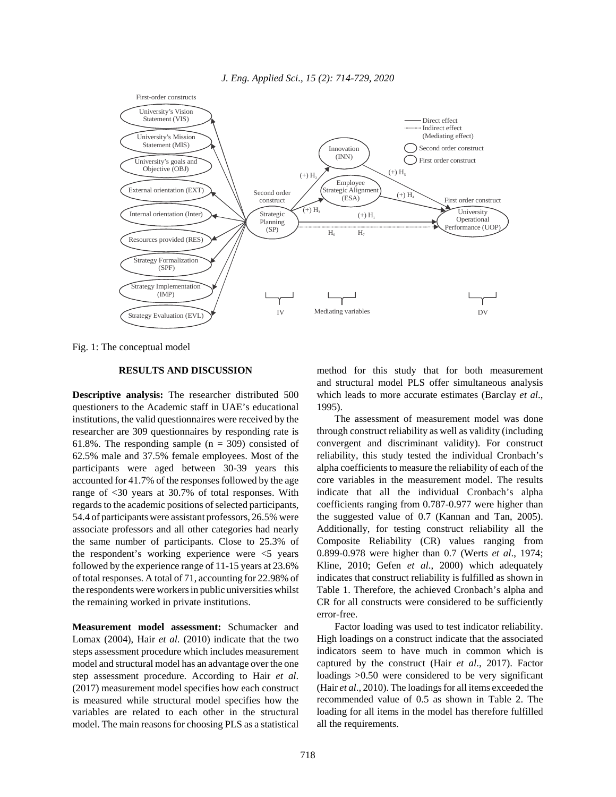

Fig. 1: The conceptual model

## **RESULTS AND DISCUSSION**

**Descriptive analysis:** The researcher distributed 500 questioners to the Academic staff in UAE's educational institutions, the valid questionnaires were received by the researcher are 309 questionnaires by responding rate is 61.8%. The responding sample  $(n = 309)$  consisted of 62.5% male and 37.5% female employees. Most of the participants were aged between 30-39 years this accounted for 41.7% of the responses followed by the age range of <30 years at 30.7% of total responses. With regards to the academic positions of selected participants, 54.4 of participants were assistant professors, 26.5% were associate professors and all other categories had nearly the same number of participants. Close to 25.3% of the respondent's working experience were <5 years followed by the experience range of 11-15 years at 23.6% of total responses. A total of 71, accounting for 22.98% of the respondents were workers in public universities whilst the remaining worked in private institutions.

**Measurement model assessment:** Schumacker and Lomax (2004), Hair *et al*. (2010) indicate that the two steps assessment procedure which includes measurement model and structural model has an advantage over the one step assessment procedure. According to Hair *et al*. (2017) measurement model specifies how each construct is measured while structural model specifies how the variables are related to each other in the structural model. The main reasons for choosing PLS as a statistical method for this study that for both measurement and structural model PLS offer simultaneous analysis which leads to more accurate estimates (Barclay *et al*., 1995).

The assessment of measurement model was done through construct reliability as well as validity (including convergent and discriminant validity). For construct reliability, this study tested the individual Cronbach's alpha coefficients to measure the reliability of each of the core variables in the measurement model. The results indicate that all the individual Cronbach's alpha coefficients ranging from 0.787-0.977 were higher than the suggested value of 0.7 (Kannan and Tan, 2005). Additionally, for testing construct reliability all the Composite Reliability (CR) values ranging from 0.899-0.978 were higher than 0.7 (Werts *et al*., 1974; Kline, 2010; Gefen *et al*., 2000) which adequately indicates that construct reliability is fulfilled as shown in Table 1. Therefore, the achieved Cronbach's alpha and CR for all constructs were considered to be sufficiently error-free.

Factor loading was used to test indicator reliability. High loadings on a construct indicate that the associated indicators seem to have much in common which is captured by the construct (Hair *et al*., 2017). Factor loadings  $>0.50$  were considered to be very significant (Hair *et al*., 2010). The loadings for all items exceeded the recommended value of 0.5 as shown in Table 2. The loading for all items in the model has therefore fulfilled all the requirements.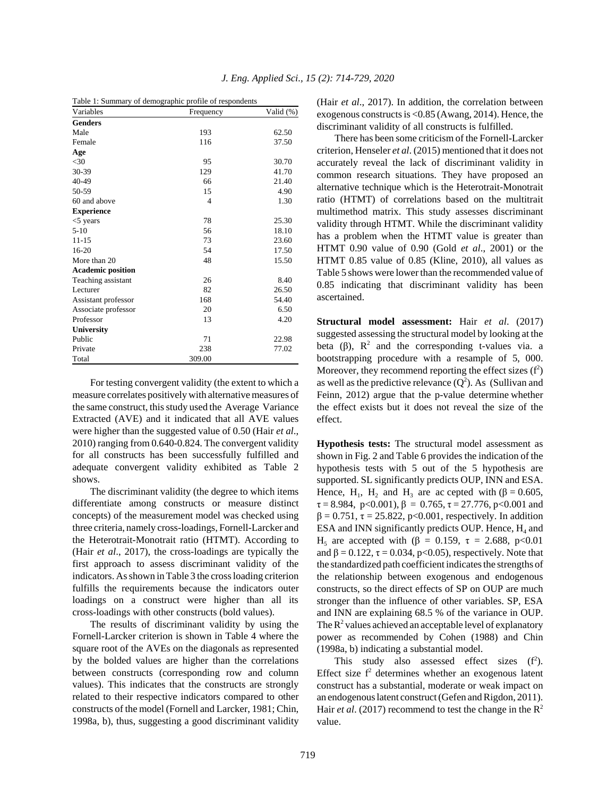|  |  |  | Table 1: Summary of demographic profile of respondents |  |
|--|--|--|--------------------------------------------------------|--|
|  |  |  |                                                        |  |

| Variables                | Frequency      | Valid (%) |
|--------------------------|----------------|-----------|
| <b>Genders</b>           |                |           |
| Male                     | 193            | 62.50     |
| Female                   | 116            | 37.50     |
| Age                      |                |           |
| $<$ 30                   | 95             | 30.70     |
| 30-39                    | 129            | 41.70     |
| 40-49                    | 66             | 21.40     |
| 50-59                    | 15             | 4.90      |
| 60 and above             | $\overline{4}$ | 1.30      |
| <b>Experience</b>        |                |           |
| $<$ 5 years              | 78             | 25.30     |
| $5-10$                   | 56             | 18.10     |
| $11 - 15$                | 73             | 23.60     |
| $16-20$                  | 54             | 17.50     |
| More than 20             | 48             | 15.50     |
| <b>Academic position</b> |                |           |
| Teaching assistant       | 26             | 8.40      |
| Lecturer                 | 82             | 26.50     |
| Assistant professor      | 168            | 54.40     |
| Associate professor      | 20             | 6.50      |
| Professor                | 13             | 4.20      |
| <b>University</b>        |                |           |
| Public                   | 71             | 22.98     |
| Private                  | 238            | 77.02     |
| Total                    | 309.00         |           |

For testing convergent validity (the extent to which a measure correlates positively with alternative measures of the same construct, this study used the Average Variance Extracted (AVE) and it indicated that all AVE values were higher than the suggested value of 0.50 (Hair *et al*., 2010) ranging from 0.640-0.824. The convergent validity for all constructs has been successfully fulfilled and adequate convergent validity exhibited as Table 2 shows.

The discriminant validity (the degree to which items differentiate among constructs or measure distinct concepts) of the measurement model was checked using three criteria, namely cross-loadings, Fornell-Larcker and the Heterotrait-Monotrait ratio (HTMT). According to (Hair *et al*., 2017), the cross-loadings are typically the first approach to assess discriminant validity of the indicators. As shown in Table 3 the cross loading criterion fulfills the requirements because the indicators outer loadings on a construct were higher than all its cross-loadings with other constructs (bold values).

The results of discriminant validity by using the Fornell-Larcker criterion is shown in Table 4 where the square root of the AVEs on the diagonals as represented by the bolded values are higher than the correlations between constructs (corresponding row and column values). This indicates that the constructs are strongly related to their respective indicators compared to other constructs of the model (Fornell and Larcker, 1981; Chin, 1998a, b), thus, suggesting a good discriminant validity (Hair *et al*., 2017). In addition, the correlation between exogenous constructs is <0.85 (Awang, 2014). Hence, the discriminant validity of all constructs is fulfilled.

There has been some criticism of the Fornell-Larcker criterion, Henseler *et al*. (2015) mentioned that it does not accurately reveal the lack of discriminant validity in common research situations. They have proposed an alternative technique which is the Heterotrait-Monotrait ratio (HTMT) of correlations based on the multitrait multimethod matrix. This study assesses discriminant validity through HTMT. While the discriminant validity has a problem when the HTMT value is greater than HTMT 0.90 value of 0.90 (Gold *et al*., 2001) or the HTMT 0.85 value of 0.85 (Kline, 2010), all values as Table 5 shows were lower than the recommended value of 0.85 indicating that discriminant validity has been ascertained.

**Structural model assessment:** Hair *et al*. (2017) suggested assessing the structural model by looking at the beta ( $\beta$ ),  $\mathbb{R}^2$  and the corresponding t-values via. a bootstrapping procedure with a resample of 5, 000. Moreover, they recommend reporting the effect sizes  $(f^2)$ as well as the predictive relevance  $(Q^2)$ . As (Sullivan and Feinn, 2012) argue that the p-value determine whether the effect exists but it does not reveal the size of the effect.

**Hypothesis tests:** The structural model assessment as shown in Fig. 2 and Table 6 provides the indication of the hypothesis tests with 5 out of the 5 hypothesis are supported. SL significantly predicts OUP, INN and ESA. Hence, H<sub>1</sub>, H<sub>2</sub> and H<sub>3</sub> are ac cepted with ( $\beta = 0.605$ ,  $\tau = 8.984$ , p<0.001),  $\beta = 0.765$ ,  $\tau = 27.776$ , p<0.001 and  $β = 0.751$ ,  $τ = 25.822$ ,  $p < 0.001$ , respectively. In addition ESA and INN significantly predicts OUP. Hence,  $H_4$  and H<sub>5</sub> are accepted with (β = 0.159, τ = 2.688, p<0.01 and  $\beta = 0.122$ ,  $\tau = 0.034$ , p<0.05), respectively. Note that the standardized path coefficient indicates the strengths of the relationship between exogenous and endogenous constructs, so the direct effects of SP on OUP are much stronger than the influence of other variables. SP, ESA and INN are explaining 68.5 % of the variance in OUP. The  $\mathbb{R}^2$  values achieved an acceptable level of explanatory power as recommended by Cohen (1988) and Chin (1998a, b) indicating a substantial model.

This study also assessed effect sizes  $(f^2)$ . Effect size  $f^2$  determines whether an exogenous latent construct has a substantial, moderate or weak impact on an endogenous latent construct (Gefen and Rigdon, 2011). Hair *et al.* (2017) recommend to test the change in the  $R^2$ value.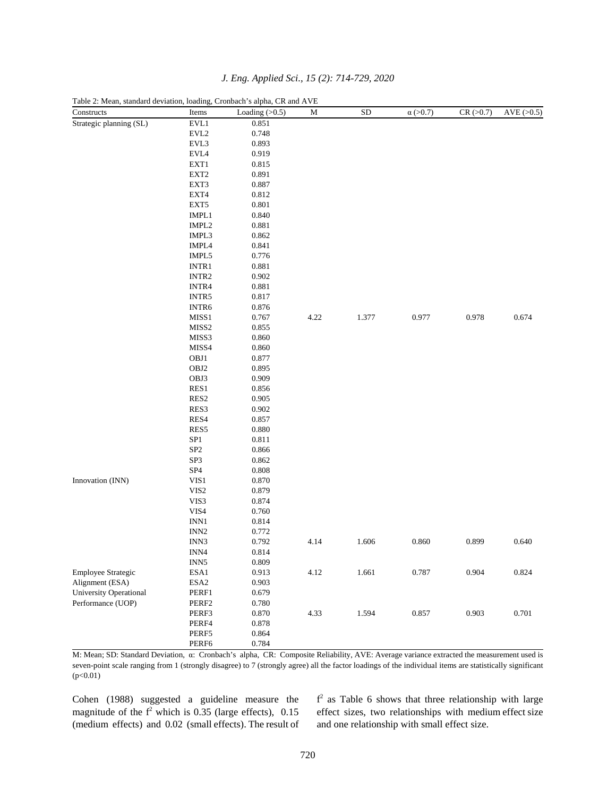| Constructs                    | Items                       | Loading $(>0.5)$ | M    | ${\rm SD}$ | $\alpha$ (>0.7) | CR (>0.7) | $AVE$ ( $>0.5$ ) |
|-------------------------------|-----------------------------|------------------|------|------------|-----------------|-----------|------------------|
| Strategic planning (SL)       | EVL1                        | 0.851            |      |            |                 |           |                  |
|                               | EVL2                        | 0.748            |      |            |                 |           |                  |
|                               | EVL3                        | 0.893            |      |            |                 |           |                  |
|                               | EVL4                        | 0.919            |      |            |                 |           |                  |
|                               | EXT1                        | 0.815            |      |            |                 |           |                  |
|                               | EXT <sub>2</sub>            | 0.891            |      |            |                 |           |                  |
|                               | EXT3                        | 0.887            |      |            |                 |           |                  |
|                               | EXT4                        | 0.812            |      |            |                 |           |                  |
|                               | $\ensuremath{\text{EXT}} 5$ | 0.801            |      |            |                 |           |                  |
|                               | $IMPL1$                     | 0.840            |      |            |                 |           |                  |
|                               | IMPL <sub>2</sub>           | 0.881            |      |            |                 |           |                  |
|                               | IMPL3                       | 0.862            |      |            |                 |           |                  |
|                               | IMPL4                       | 0.841            |      |            |                 |           |                  |
|                               | IMPL5                       | 0.776            |      |            |                 |           |                  |
|                               | INTR1                       | 0.881            |      |            |                 |           |                  |
|                               | INTR <sub>2</sub>           | 0.902            |      |            |                 |           |                  |
|                               | INTR4                       | 0.881            |      |            |                 |           |                  |
|                               | INTR5                       | 0.817            |      |            |                 |           |                  |
|                               | INTR6                       | 0.876            |      |            |                 |           |                  |
|                               | MISS1                       | 0.767            | 4.22 | 1.377      | 0.977           | 0.978     | 0.674            |
|                               | MISS2                       | 0.855            |      |            |                 |           |                  |
|                               | MISS3                       | 0.860            |      |            |                 |           |                  |
|                               | MISS4                       | 0.860            |      |            |                 |           |                  |
|                               | OBJ1                        | 0.877            |      |            |                 |           |                  |
|                               | OBJ2                        | 0.895            |      |            |                 |           |                  |
|                               | OBJ3                        | 0.909            |      |            |                 |           |                  |
|                               | RES1                        | 0.856            |      |            |                 |           |                  |
|                               | RES <sub>2</sub>            | 0.905            |      |            |                 |           |                  |
|                               | RES3                        | 0.902            |      |            |                 |           |                  |
|                               | RES4                        | 0.857            |      |            |                 |           |                  |
|                               | RES5                        | 0.880            |      |            |                 |           |                  |
|                               | ${\bf SP1}$                 | 0.811            |      |            |                 |           |                  |
|                               | SP <sub>2</sub>             | 0.866            |      |            |                 |           |                  |
|                               | SP3                         | 0.862            |      |            |                 |           |                  |
|                               | SP <sub>4</sub>             | 0.808            |      |            |                 |           |                  |
| Innovation (INN)              | VIS1                        | 0.870            |      |            |                 |           |                  |
|                               | VIS <sub>2</sub>            | 0.879            |      |            |                 |           |                  |
|                               | VIS3                        | 0.874            |      |            |                 |           |                  |
|                               | VIS4                        | 0.760            |      |            |                 |           |                  |
|                               | INN1                        | 0.814            |      |            |                 |           |                  |
|                               | INN <sub>2</sub>            | 0.772            |      |            |                 |           |                  |
|                               | INN3                        | 0.792            | 4.14 | 1.606      | 0.860           | 0.899     | 0.640            |
|                               | INN4                        | 0.814            |      |            |                 |           |                  |
|                               | INN <sub>5</sub>            | 0.809            |      |            |                 |           |                  |
| <b>Employee Strategic</b>     | ESA1                        | 0.913            | 4.12 | 1.661      | 0.787           | 0.904     | 0.824            |
| Alignment (ESA)               | $\operatorname{ESA2}$       | 0.903            |      |            |                 |           |                  |
| <b>University Operational</b> | PERF1                       | 0.679            |      |            |                 |           |                  |
| Performance (UOP)             | PERF2                       | 0.780            |      |            |                 |           |                  |
|                               | PERF3                       | 0.870            | 4.33 | 1.594      | 0.857           | 0.903     | 0.701            |
|                               | PERF4                       | 0.878            |      |            |                 |           |                  |
|                               | PERF5                       | 0.864            |      |            |                 |           |                  |
|                               | PERF6                       | 0.784            |      |            |                 |           |                  |
|                               |                             |                  |      |            |                 |           |                  |

*J. Eng. Applied Sci., 15 (2): 714-729, 2020*

Table 2: Mean, standard deviation, loading, Cronbach's alpha, CR and AVE

M: Mean; SD: Standard Deviation, α: Cronbach's alpha, CR: Composite Reliability, AVE: Average variance extracted the measurement used is seven-point scale ranging from 1 (strongly disagree) to 7 (strongly agree) all the factor loadings of the individual items are statistically significant  $(p<0.01)$ 

Cohen (1988) suggested a guideline measure the magnitude of the  $f^2$  which is 0.35 (large effects), 0.15 (medium effects) and 0.02 (small effects). The result of

 $f<sup>2</sup>$  as Table 6 shows that three relationship with large effect sizes, two relationships with medium effect size and one relationship with small effect size.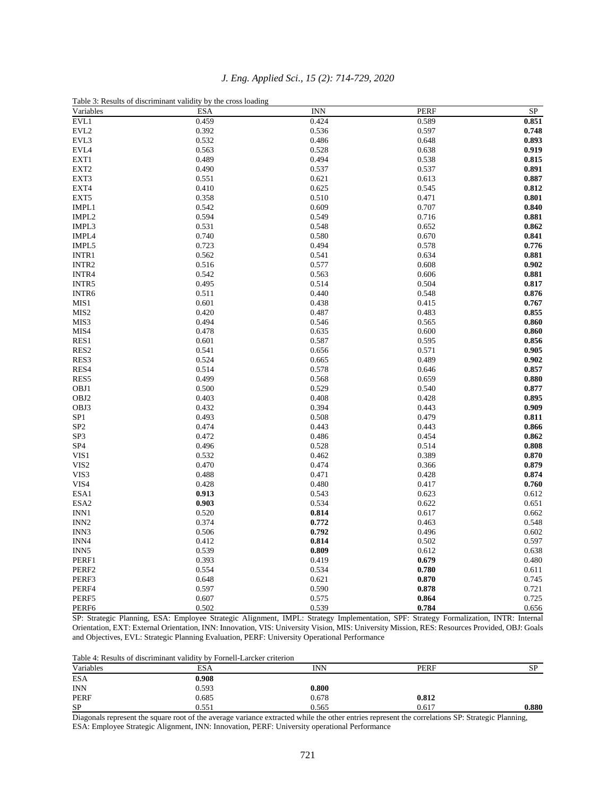| Variables         | Table 3: Results of discriminant validity by the cross loading<br><b>ESA</b> | <b>INN</b> | <b>PERF</b> | SP    |
|-------------------|------------------------------------------------------------------------------|------------|-------------|-------|
| EVL1              | 0.459                                                                        | 0.424      | 0.589       | 0.851 |
| EVL2              | 0.392                                                                        | 0.536      | 0.597       | 0.748 |
| EVL3              | 0.532                                                                        | 0.486      | 0.648       | 0.893 |
| EVL4              | 0.563                                                                        | 0.528      | 0.638       | 0.919 |
| EXT1              | 0.489                                                                        | 0.494      | 0.538       | 0.815 |
| EXT2              | 0.490                                                                        | 0.537      | 0.537       | 0.891 |
| EXT3              | 0.551                                                                        | 0.621      | 0.613       | 0.887 |
| EXT4              | 0.410                                                                        | 0.625      | 0.545       | 0.812 |
| EXT5              | 0.358                                                                        | 0.510      | 0.471       | 0.801 |
| IMPL1             | 0.542                                                                        | 0.609      | 0.707       | 0.840 |
| IMPL <sub>2</sub> | 0.594                                                                        | 0.549      | 0.716       | 0.881 |
| IMPL3             | 0.531                                                                        | 0.548      | 0.652       | 0.862 |
| IMPL4             | 0.740                                                                        | 0.580      | 0.670       | 0.841 |
| IMPL5             | 0.723                                                                        | 0.494      | 0.578       | 0.776 |
| INTR1             | 0.562                                                                        | 0.541      | 0.634       | 0.881 |
| INTR <sub>2</sub> | 0.516                                                                        | 0.577      | 0.608       | 0.902 |
| INTR4             | 0.542                                                                        | 0.563      | 0.606       | 0.881 |
| INTR5             | 0.495                                                                        | 0.514      | 0.504       | 0.817 |
| INTR6             | 0.511                                                                        | 0.440      | 0.548       | 0.876 |
| MIS1              | 0.601                                                                        | 0.438      | 0.415       | 0.767 |
| MIS <sub>2</sub>  | 0.420                                                                        | 0.487      | 0.483       | 0.855 |
| MIS3              | 0.494                                                                        | 0.546      | 0.565       | 0.860 |
| MIS4              | 0.478                                                                        | 0.635      | 0.600       | 0.860 |
| RES1              | 0.601                                                                        | 0.587      | 0.595       | 0.856 |
| RES <sub>2</sub>  | 0.541                                                                        | 0.656      | 0.571       | 0.905 |
| RES3              | 0.524                                                                        | 0.665      | 0.489       | 0.902 |
| RES4              | 0.514                                                                        | 0.578      | 0.646       | 0.857 |
| RES5              | 0.499                                                                        | 0.568      | 0.659       | 0.880 |
| OBJ1              | 0.500                                                                        | 0.529      | 0.540       | 0.877 |
| OBJ2              | 0.403                                                                        | 0.408      | 0.428       | 0.895 |
| OBJ3              | 0.432                                                                        | 0.394      | 0.443       | 0.909 |
| SP <sub>1</sub>   | 0.493                                                                        | 0.508      | 0.479       | 0.811 |
| SP <sub>2</sub>   | 0.474                                                                        | 0.443      | 0.443       | 0.866 |
| SP3               | 0.472                                                                        | 0.486      | 0.454       | 0.862 |
| SP <sub>4</sub>   | 0.496                                                                        | 0.528      | 0.514       | 0.808 |
| VIS1              | 0.532                                                                        | 0.462      | 0.389       | 0.870 |
| VIS <sub>2</sub>  | 0.470                                                                        | 0.474      | 0.366       | 0.879 |
| VIS3              | 0.488                                                                        | 0.471      | 0.428       | 0.874 |
| VIS4              | 0.428                                                                        | 0.480      | 0.417       | 0.760 |
| ESA1              | 0.913                                                                        | 0.543      | 0.623       | 0.612 |
| ESA <sub>2</sub>  | 0.903                                                                        | 0.534      | 0.622       | 0.651 |
| INN1              | 0.520                                                                        | 0.814      | 0.617       | 0.662 |
| INN <sub>2</sub>  | 0.374                                                                        | 0.772      | 0.463       | 0.548 |
| INN3              | 0.506                                                                        | 0.792      | 0.496       | 0.602 |
| INN4              | 0.412                                                                        | 0.814      | 0.502       | 0.597 |
| INN <sub>5</sub>  | 0.539                                                                        | 0.809      | 0.612       | 0.638 |
| PERF1             | 0.393                                                                        | 0.419      | 0.679       | 0.480 |
| PERF <sub>2</sub> | 0.554                                                                        | 0.534      | 0.780       | 0.611 |
| PERF3             | 0.648                                                                        | 0.621      | 0.870       | 0.745 |
| PERF4             | 0.597                                                                        | 0.590      | 0.878       | 0.721 |
| PERF5             | 0.607                                                                        | 0.575      | 0.864       | 0.725 |
| PERF <sub>6</sub> | 0.502                                                                        | 0.539      | 0.784       | 0.656 |

## *J. Eng. Applied Sci., 15 (2): 714-729, 2020*

Table 3: Results of discriminant validity by the cross loading

SP: Strategic Planning, ESA: Employee Strategic Alignment, IMPL: Strategy Implementation, SPF: Strategy Formalization, INTR: Internal Orientation, EXT: External Orientation, INN: Innovation, VIS: University Vision, MIS: University Mission, RES: Resources Provided, OBJ: Goals and Objectives, EVL: Strategic Planning Evaluation, PERF: University Operational Performance

Table 4: Results of discriminant validity by Fornell-Larcker criterion

| Variables  | <b>ESA</b> | INN   | <b>PERF</b> | <b>SP</b> |
|------------|------------|-------|-------------|-----------|
| <b>ESA</b> | 0.908      |       |             |           |
| <b>INN</b> | 0.593      | 0.800 |             |           |
| PERF       | 0.685      | 0.678 | 0.812       |           |
| <b>SP</b>  | 0.55!      | 0.565 | 0.617       | 0.880     |

Diagonals represent the square root of the average variance extracted while the other entries represent the correlations SP: Strategic Planning, ESA: Employee Strategic Alignment, INN: Innovation, PERF: University operational Performance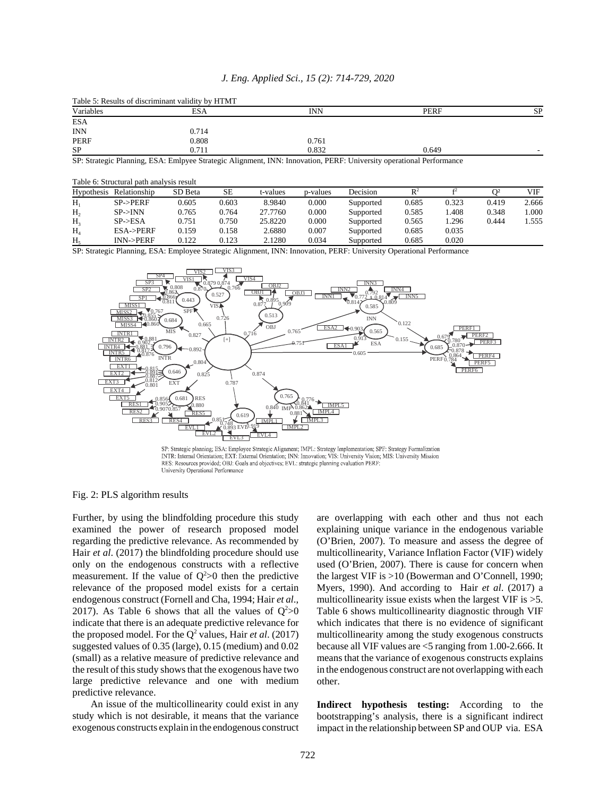|  |  |  |  |  |  | J. Eng. Applied Sci., 15 (2): 714-729, 2020 |  |
|--|--|--|--|--|--|---------------------------------------------|--|
|--|--|--|--|--|--|---------------------------------------------|--|

Table 5: Results of discriminant validity by HTMT

| Variables  | ESA   | INN   | <b>PERF</b> | <b>SP</b> |
|------------|-------|-------|-------------|-----------|
| ESA        |       |       |             |           |
| <b>INN</b> | 0.714 |       |             |           |
| PERF       | 0.808 | 0.761 |             |           |
| ${\rm SP}$ | 0.711 | 0.832 | 0.649       |           |

SP: Strategic Planning, ESA: Emlpyee Strategic Alignment, INN: Innovation, PERF: University operational Performance

|  | Table 6: Structural path analysis result |
|--|------------------------------------------|
|--|------------------------------------------|

| Hypothesis     | Relationship        | SD Beta | <b>SE</b> | t-values | p-values | Decision  | $\mathbb{R}^2$ |       | $\cap$ 2 | VIF   |
|----------------|---------------------|---------|-----------|----------|----------|-----------|----------------|-------|----------|-------|
| $H_1$          | $SP$ -> $PERF$      | 0.605   | 0.603     | 8.9840   | 0.000    | Supported | 0.685          | 0.323 | 0.419    | 2.666 |
| H <sub>2</sub> | $SP->INN$           | 0.765   | 0.764     | 27.7760  | 0.000    | Supported | 0.585          | 1.408 | 0.348    | 1.000 |
| H <sub>3</sub> | SP > ESA            | 0.751   | 0.750     | 25.8220  | 0.000    | Supported | 0.565          | 1.296 | 0.444    | 1.555 |
| H <sub>4</sub> | <b>ESA-&gt;PERF</b> | 0.159   | 0.158     | 2.6880   | 0.007    | Supported | 0.685          | 0.035 |          |       |
| $H_{\rm s}$    | INN->PERF           | 0.122   | 0.123     | 2.1280   | 0.034    | Supported | 0.685          | 0.020 |          |       |

SP: Strategic Planning, ESA: Employee Strategic Alignment, INN: Innovation, PERF: University Operational Performance



SP: Strategic planning; ESA: Employee Strategic Alignment; IMPL: Strategy Implementation; SPF: Strategy Formalization INTR: Internal Orientation; EXT: External Orientation; INN: Innovation; VIS: University Vision; MIS: University Mission RES: Resources provided; OBJ: Goals and objectives; EVL: strategic planning evaluation PERF: University Operational Performance

#### Fig. 2: PLS algorithm results

Further, by using the blindfolding procedure this study examined the power of research proposed model regarding the predictive relevance. As recommended by Hair *et al*. (2017) the blindfolding procedure should use only on the endogenous constructs with a reflective measurement. If the value of  $Q^2>0$  then the predictive relevance of the proposed model exists for a certain endogenous construct (Fornell and Cha, 1994; Hair *et al*., 2017). As Table 6 shows that all the values of  $Q^2 > 0$ indicate that there is an adequate predictive relevance for the proposed model. For the  $Q^2$  values, Hair *et al.* (2017) suggested values of 0.35 (large), 0.15 (medium) and 0.02 (small) as a relative measure of predictive relevance and the result of this study shows that the exogenous have two large predictive relevance and one with medium predictive relevance.

An issue of the multicollinearity could exist in any study which is not desirable, it means that the variance exogenous constructs explain in the endogenous construct are overlapping with each other and thus not each explaining unique variance in the endogenous variable (O'Brien, 2007). To measure and assess the degree of multicollinearity, Variance Inflation Factor (VIF) widely used (O'Brien, 2007). There is cause for concern when the largest VIF is >10 (Bowerman and O'Connell, 1990; Myers, 1990). And according to Hair *et al*. (2017) a multicollinearity issue exists when the largest VIF is  $>5$ . Table 6 shows multicollinearity diagnostic through VIF which indicates that there is no evidence of significant multicollinearity among the study exogenous constructs because all VIF values are <5 ranging from 1.00-2.666. It means that the variance of exogenous constructs explains in the endogenous construct are not overlapping with each other.

**Indirect hypothesis testing:** According to the bootstrapping's analysis, there is a significant indirect impact in the relationship between SP and OUP via. ESA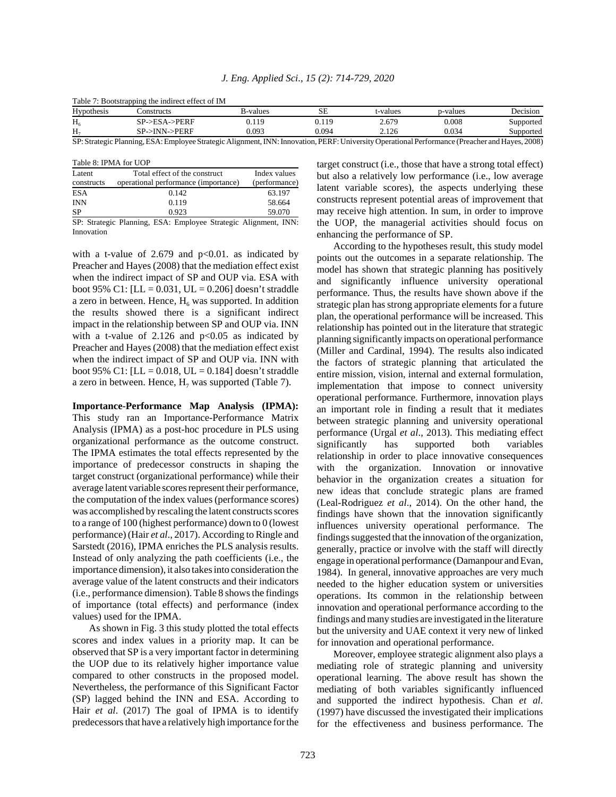| <b>Hypothesis</b> | :onstructs                                                                                                                                      | B-values | SЕ    | t-values | p-values | Decision  |
|-------------------|-------------------------------------------------------------------------------------------------------------------------------------------------|----------|-------|----------|----------|-----------|
| $\Pi_6$           | SP->ESA->PERF                                                                                                                                   | 0.119    | 0.119 | 2.679    | 0.008    | Supported |
|                   | $SP->INN->PERF$                                                                                                                                 | 0.093    | 0.094 | 2.126    | 0.034    | Supported |
|                   | SP: Strategic Planning, ESA: Employee Strategic Alignment, INN: Innovation, PERF: University Operational Performance (Preacher and Hayes, 2008) |          |       |          |          |           |

| Table 7: Bootstrapping the indirect effect of IM |  |  |  |  |
|--------------------------------------------------|--|--|--|--|
|--------------------------------------------------|--|--|--|--|

Table 8: IPMA for UOP

|                                    | TADIC 0. IFINIA IOI UUF              |               |
|------------------------------------|--------------------------------------|---------------|
| Latent                             | Total effect of the construct        | Index values  |
| constructs                         | operational performance (importance) | (performance) |
| <b>ESA</b>                         | 0.142                                | 63.197        |
| <b>INN</b>                         | 0.119                                | 58.664        |
| <b>SP</b>                          | 0.923                                | 59.070        |
| $\sim$ $\sim$ $\sim$ $\sim$ $\sim$ | .                                    |               |

SP: Strategic Planning, ESA: Employee Strategic Alignment, INN: Innovation

with a t-value of 2.679 and  $p<0.01$ . as indicated by Preacher and Hayes (2008) that the mediation effect exist when the indirect impact of SP and OUP via. ESA with boot 95% C1: [LL =  $0.031$ , UL =  $0.206$ ] doesn't straddle a zero in between. Hence,  $H_6$  was supported. In addition the results showed there is a significant indirect impact in the relationship between SP and OUP via. INN with a t-value of  $2.126$  and  $p<0.05$  as indicated by Preacher and Hayes (2008) that the mediation effect exist when the indirect impact of SP and OUP via. INN with boot 95% C1: [LL = 0.018, UL = 0.184] doesn't straddle a zero in between. Hence,  $H_7$  was supported (Table 7).

**Importance-Performance Map Analysis (IPMA):** This study ran an Importance-Performance Matrix Analysis (IPMA) as a post-hoc procedure in PLS using organizational performance as the outcome construct. The IPMA estimates the total effects represented by the importance of predecessor constructs in shaping the target construct (organizational performance) while their average latent variable scores represent their performance, the computation of the index values (performance scores) was accomplished by rescaling the latent constructs scores to a range of 100 (highest performance) down to 0 (lowest performance) (Hair *et al*., 2017). According to Ringle and Sarstedt (2016), IPMA enriches the PLS analysis results. Instead of only analyzing the path coefficients (i.e., the importance dimension), it also takes into consideration the average value of the latent constructs and their indicators (i.e., performance dimension). Table 8 shows the findings of importance (total effects) and performance (index values) used for the IPMA.

As shown in Fig. 3 this study plotted the total effects scores and index values in a priority map. It can be observed that SP is a very important factor in determining the UOP due to its relatively higher importance value compared to other constructs in the proposed model. Nevertheless, the performance of this Significant Factor (SP) lagged behind the INN and ESA. According to Hair *et al*. (2017) The goal of IPMA is to identify predecessors that have a relatively high importance for the

target construct (i.e., those that have a strong total effect) but also a relatively low performance (i.e., low average latent variable scores), the aspects underlying these constructs represent potential areas of improvement that may receive high attention. In sum, in order to improve the UOP, the managerial activities should focus on enhancing the performance of SP.

According to the hypotheses result, this study model points out the outcomes in a separate relationship. The model has shown that strategic planning has positively and significantly influence university operational performance. Thus, the results have shown above if the strategic plan has strong appropriate elements for a future plan, the operational performance will be increased. This relationship has pointed out in the literature that strategic planning significantly impacts on operational performance (Miller and Cardinal, 1994). The results also indicated the factors of strategic planning that articulated the entire mission, vision, internal and external formulation, implementation that impose to connect university operational performance. Furthermore, innovation plays an important role in finding a result that it mediates between strategic planning and university operational performance (Urgal *et al*., 2013). This mediating effect significantly has supported both variables relationship in order to place innovative consequences with the organization. Innovation or innovative behavior in the organization creates a situation for new ideas that conclude strategic plans are framed (Leal-Rodriguez *et al*., 2014). On the other hand, the findings have shown that the innovation significantly influences university operational performance. The findings suggested that the innovation of the organization, generally, practice or involve with the staff will directly engage in operational performance (Damanpour and Evan, 1984). In general, innovative approaches are very much needed to the higher education system or universities operations. Its common in the relationship between innovation and operational performance according to the findings and many studies are investigated in the literature but the university and UAE context it very new of linked for innovation and operational performance.

Moreover, employee strategic alignment also plays a mediating role of strategic planning and university operational learning. The above result has shown the mediating of both variables significantly influenced and supported the indirect hypothesis. Chan *et al*. (1997) have discussed the investigated their implications for the effectiveness and business performance. The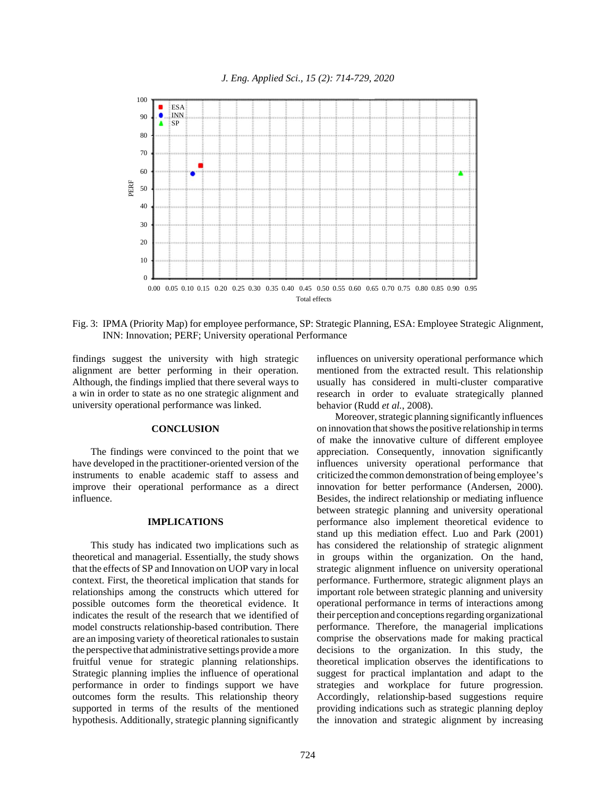

Fig. 3: IPMA (Priority Map) for employee performance, SP: Strategic Planning, ESA: Employee Strategic Alignment, INN: Innovation; PERF; University operational Performance

findings suggest the university with high strategic alignment are better performing in their operation. Although, the findings implied that there several ways to a win in order to state as no one strategic alignment and university operational performance was linked.

## **CONCLUSION**

The findings were convinced to the point that we have developed in the practitioner-oriented version of the instruments to enable academic staff to assess and improve their operational performance as a direct influence.

### **IMPLICATIONS**

This study has indicated two implications such as theoretical and managerial. Essentially, the study shows that the effects of SP and Innovation on UOP vary in local context. First, the theoretical implication that stands for relationships among the constructs which uttered for possible outcomes form the theoretical evidence. It indicates the result of the research that we identified of model constructs relationship-based contribution. There are an imposing variety of theoretical rationales to sustain the perspective that administrative settings provide a more fruitful venue for strategic planning relationships. Strategic planning implies the influence of operational performance in order to findings support we have outcomes form the results. This relationship theory supported in terms of the results of the mentioned hypothesis. Additionally, strategic planning significantly

influences on university operational performance which mentioned from the extracted result. This relationship usually has considered in multi-cluster comparative research in order to evaluate strategically planned behavior (Rudd *et al.*, 2008).

Moreover, strategic planning significantly influences on innovation that shows the positive relationship in terms of make the innovative culture of different employee appreciation. Consequently, innovation significantly influences university operational performance that criticized the common demonstration of being employee's innovation for better performance (Andersen, 2000). Besides, the indirect relationship or mediating influence between strategic planning and university operational performance also implement theoretical evidence to stand up this mediation effect. Luo and Park (2001) has considered the relationship of strategic alignment in groups within the organization. On the hand, strategic alignment influence on university operational performance. Furthermore, strategic alignment plays an important role between strategic planning and university operational performance in terms of interactions among their perception and conceptions regarding organizational performance. Therefore, the managerial implications comprise the observations made for making practical decisions to the organization. In this study, the theoretical implication observes the identifications to suggest for practical implantation and adapt to the strategies and workplace for future progression. Accordingly, relationship-based suggestions require providing indications such as strategic planning deploy the innovation and strategic alignment by increasing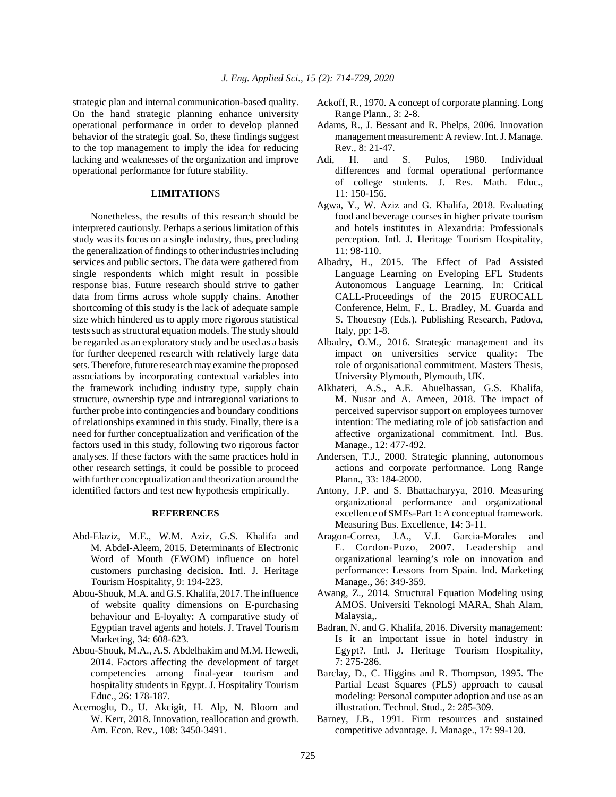strategic plan and internal communication-based quality. On the hand strategic planning enhance university operational performance in order to develop planned behavior of the strategic goal. So, these findings suggest to the top management to imply the idea for reducing lacking and weaknesses of the organization and improve operational performance for future stability.

### **LIMITATION**S

Nonetheless, the results of this research should be interpreted cautiously. Perhaps a serious limitation of this study was its focus on a single industry, thus, precluding the generalization of findings to other industries including services and public sectors. The data were gathered from single respondents which might result in possible response bias. Future research should strive to gather data from firms across whole supply chains. Another shortcoming of this study is the lack of adequate sample size which hindered us to apply more rigorous statistical tests such as structural equation models. The study should be regarded as an exploratory study and be used as a basis for further deepened research with relatively large data sets. Therefore, future research may examine the proposed associations by incorporating contextual variables into the framework including industry type, supply chain structure, ownership type and intraregional variations to further probe into contingencies and boundary conditions of relationships examined in this study. Finally, there is a need for further conceptualization and verification of the factors used in this study, following two rigorous factor analyses. If these factors with the same practices hold in other research settings, it could be possible to proceed with further conceptualization and theorization around the identified factors and test new hypothesis empirically.

#### **REFERENCES**

- Abd-Elaziz, M.E., W.M. Aziz, G.S. Khalifa and M. Abdel-Aleem, 2015. Determinants of Electronic Word of Mouth (EWOM) influence on hotel customers purchasing decision. Intl. J. Heritage Tourism Hospitality, 9: 194-223.
- Abou-Shouk, M.A. and G.S. Khalifa, 2017. The influence of website quality dimensions on E-purchasing behaviour and E-loyalty: A comparative study of Egyptian travel agents and hotels. J. Travel Tourism Marketing, 34: 608-623.
- Abou-Shouk, M.A., A.S. Abdelhakim and M.M. Hewedi, 2014. Factors affecting the development of target competencies among final-year tourism and hospitality students in Egypt. J. Hospitality Tourism Educ., 26: 178-187.
- Acemoglu, D., U. Akcigit, H. Alp, N. Bloom and W. Kerr, 2018. Innovation, reallocation and growth. Am. Econ. Rev., 108: 3450-3491.
- Ackoff, R., 1970. A concept of corporate planning. Long Range Plann., 3: 2-8.
- Adams, R., J. Bessant and R. Phelps, 2006. Innovation management measurement: A review. Int. J. Manage. Rev., 8: 21-47.
- Adi, H. and S. Pulos, 1980. Individual differences and formal operational performance of college students. J. Res. Math. Educ., 11: 150-156.
- Agwa, Y., W. Aziz and G. Khalifa, 2018. Evaluating food and beverage courses in higher private tourism and hotels institutes in Alexandria: Professionals perception. Intl. J. Heritage Tourism Hospitality, 11: 98-110.
- Albadry, H., 2015. The Effect of Pad Assisted Language Learning on Eveloping EFL Students Autonomous Language Learning. In: Critical CALL-Proceedings of the 2015 EUROCALL Conference, Helm, F., L. Bradley, M. Guarda and S. Thouesny (Eds.). Publishing Research, Padova, Italy, pp: 1-8.
- Albadry, O.M., 2016. Strategic management and its impact on universities service quality: The role of organisational commitment. Masters Thesis, University Plymouth, Plymouth, UK.
- Alkhateri, A.S., A.E. Abuelhassan, G.S. Khalifa, M. Nusar and A. Ameen, 2018. The impact of perceived supervisor support on employees turnover intention: The mediating role of job satisfaction and affective organizational commitment. Intl. Bus. Manage., 12: 477-492.
- Andersen, T.J., 2000. Strategic planning, autonomous actions and corporate performance. Long Range Plann., 33: 184-2000.
- Antony, J.P. and S. Bhattacharyya, 2010. Measuring organizational performance and organizational excellence of SMEs-Part 1: A conceptual framework. Measuring Bus. Excellence, 14: 3-11.
- Aragon-Correa, J.A., V.J. Garcia-Morales and E. Cordon-Pozo, 2007. Leadership and organizational learning's role on innovation and performance: Lessons from Spain. Ind. Marketing Manage., 36: 349-359.
- Awang, Z., 2014. Structural Equation Modeling using AMOS. Universiti Teknologi MARA, Shah Alam, Malaysia,.
- Badran, N. and G. Khalifa, 2016. Diversity management: Is it an important issue in hotel industry in Egypt?. Intl. J. Heritage Tourism Hospitality, 7: 275-286.
- Barclay, D., C. Higgins and R. Thompson, 1995. The Partial Least Squares (PLS) approach to causal modeling: Personal computer adoption and use as an illustration. Technol. Stud., 2: 285-309.
- Barney, J.B., 1991. Firm resources and sustained competitive advantage. J. Manage., 17: 99-120.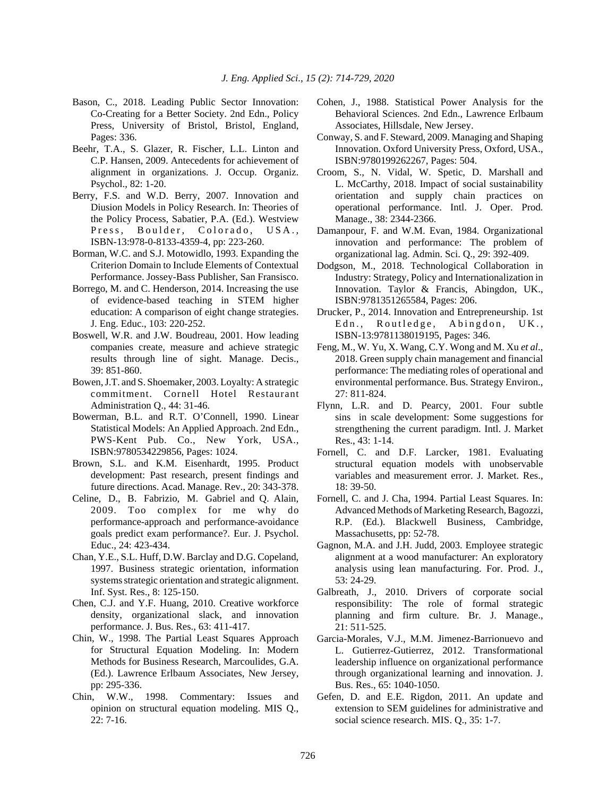- Bason, C., 2018. Leading Public Sector Innovation: Co-Creating for a Better Society. 2nd Edn., Policy Press, University of Bristol, Bristol, England, Pages: 336.
- Beehr, T.A., S. Glazer, R. Fischer, L.L. Linton and C.P. Hansen, 2009. Antecedents for achievement of alignment in organizations. J. Occup. Organiz. Psychol., 82: 1-20.
- Berry, F.S. and W.D. Berry, 2007. Innovation and Diusion Models in Policy Research. In: Theories of the Policy Process, Sabatier, P.A. (Ed.). Westview Press, Boulder, Colorado, USA., ISBN-13:978-0-8133-4359-4, pp: 223-260.
- Borman, W.C. and S.J. Motowidlo, 1993. Expanding the Criterion Domain to Include Elements of Contextual Performance. Jossey-Bass Publisher, San Fransisco.
- Borrego, M. and C. Henderson, 2014. Increasing the use of evidence-based teaching in STEM higher education: A comparison of eight change strategies. J. Eng. Educ., 103: 220-252.
- Boswell, W.R. and J.W. Boudreau, 2001. How leading companies create, measure and achieve strategic results through line of sight. Manage. Decis., 39: 851-860.
- Bowen, J.T. and S. Shoemaker, 2003. Loyalty: A strategic commitment. Cornell Hotel Restaurant Administration Q., 44: 31-46.
- Bowerman, B.L. and R.T. O'Connell, 1990. Linear Statistical Models: An Applied Approach. 2nd Edn., PWS-Kent Pub. Co., New York, USA., ISBN:9780534229856, Pages: 1024.
- Brown, S.L. and K.M. Eisenhardt, 1995. Product development: Past research, present findings and future directions. Acad. Manage. Rev., 20: 343-378.
- Celine, D., B. Fabrizio, M. Gabriel and Q. Alain, 2009. Too complex for me why do performance-approach and performance-avoidance goals predict exam performance?. Eur. J. Psychol. Educ., 24: 423-434.
- Chan, Y.E., S.L. Huff, D.W. Barclay and D.G. Copeland, 1997. Business strategic orientation, information systems strategic orientation and strategic alignment. Inf. Syst. Res., 8: 125-150.
- Chen, C.J. and Y.F. Huang, 2010. Creative workforce density, organizational slack, and innovation performance. J. Bus. Res., 63: 411-417.
- Chin, W., 1998. The Partial Least Squares Approach for Structural Equation Modeling. In: Modern Methods for Business Research, Marcoulides, G.A. (Ed.). Lawrence Erlbaum Associates, New Jersey, pp: 295-336.
- Chin, W.W., 1998. Commentary: Issues and opinion on structural equation modeling. MIS Q., 22: 7-16.
- Cohen, J., 1988. Statistical Power Analysis for the Behavioral Sciences. 2nd Edn., Lawrence Erlbaum Associates, Hillsdale, New Jersey.
- Conway, S. and F. Steward, 2009. Managing and Shaping Innovation. Oxford University Press, Oxford, USA., ISBN:9780199262267, Pages: 504.
- Croom, S., N. Vidal, W. Spetic, D. Marshall and L. McCarthy, 2018. Impact of social sustainability orientation and supply chain practices on operational performance. Intl. J. Oper. Prod. Manage., 38: 2344-2366.
- Damanpour, F. and W.M. Evan, 1984. Organizational innovation and performance: The problem of organizational lag. Admin. Sci. Q., 29: 392-409.
- Dodgson, M., 2018. Technological Collaboration in Industry: Strategy, Policy and Internationalization in Innovation. Taylor & Francis, Abingdon, UK., ISBN:9781351265584, Pages: 206.
- Drucker, P., 2014. Innovation and Entrepreneurship. 1st Edn., Routledge, Abingdon, UK., ISBN-13:9781138019195, Pages: 346.
- Feng, M., W. Yu, X. Wang, C.Y. Wong and M. Xu *et al*., 2018. Green supply chain management and financial performance: The mediating roles of operational and environmental performance. Bus. Strategy Environ., 27: 811-824.
- Flynn, L.R. and D. Pearcy, 2001. Four subtle sins in scale development: Some suggestions for strengthening the current paradigm. Intl. J. Market Res., 43: 1-14.
- Fornell, C. and D.F. Larcker, 1981. Evaluating structural equation models with unobservable variables and measurement error. J. Market. Res., 18: 39-50.
- Fornell, C. and J. Cha, 1994. Partial Least Squares. In: Advanced Methods of Marketing Research, Bagozzi, R.P. (Ed.). Blackwell Business, Cambridge, Massachusetts, pp: 52-78.
- Gagnon, M.A. and J.H. Judd, 2003. Employee strategic alignment at a wood manufacturer: An exploratory analysis using lean manufacturing. For. Prod. J., 53: 24-29.
- Galbreath, J., 2010. Drivers of corporate social responsibility: The role of formal strategic planning and firm culture. Br. J. Manage., 21: 511-525.
- Garcia-Morales, V.J., M.M. Jimenez-Barrionuevo and L. Gutierrez-Gutierrez, 2012. Transformational leadership influence on organizational performance through organizational learning and innovation. J. Bus. Res., 65: 1040-1050.
- Gefen, D. and E.E. Rigdon, 2011. An update and extension to SEM guidelines for administrative and social science research. MIS. Q., 35: 1-7.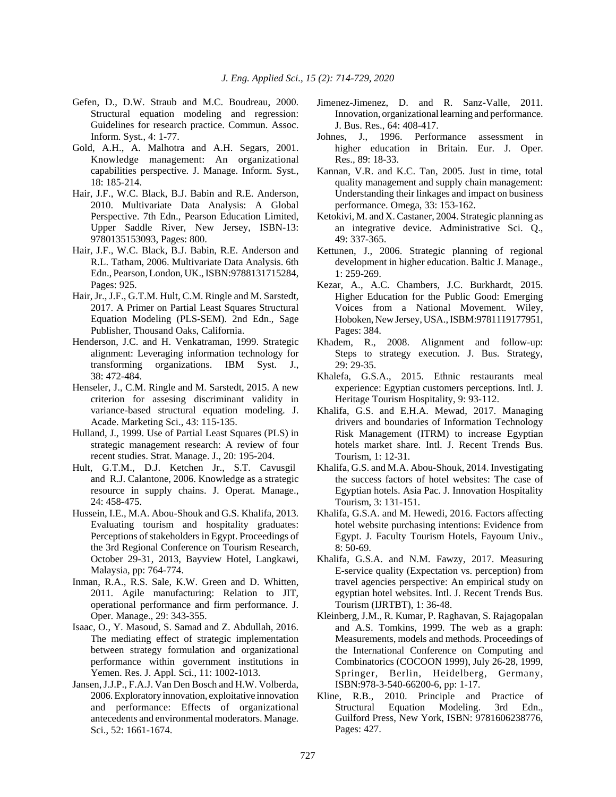- Gefen, D., D.W. Straub and M.C. Boudreau, 2000. Structural equation modeling and regression: Guidelines for research practice. Commun. Assoc. Inform. Syst., 4: 1-77.
- Gold, A.H., A. Malhotra and A.H. Segars, 2001. Knowledge management: An organizational capabilities perspective. J. Manage. Inform. Syst., 18: 185-214.
- Hair, J.F., W.C. Black, B.J. Babin and R.E. Anderson, 2010. Multivariate Data Analysis: A Global Perspective. 7th Edn., Pearson Education Limited, Upper Saddle River, New Jersey, ISBN-13: 9780135153093, Pages: 800.
- Hair, J.F., W.C. Black, B.J. Babin, R.E. Anderson and R.L. Tatham, 2006. Multivariate Data Analysis. 6th Edn., Pearson, London, UK., ISBN:9788131715284, Pages: 925.
- Hair, Jr., J.F., G.T.M. Hult, C.M. Ringle and M. Sarstedt, 2017. A Primer on Partial Least Squares Structural Equation Modeling (PLS-SEM). 2nd Edn., Sage Publisher, Thousand Oaks, California.
- Henderson, J.C. and H. Venkatraman, 1999. Strategic alignment: Leveraging information technology for transforming organizations. IBM Syst. J., 38: 472-484.
- Henseler, J., C.M. Ringle and M. Sarstedt, 2015. A new criterion for assesing discriminant validity in variance-based structural equation modeling. J. Acade. Marketing Sci., 43: 115-135.
- Hulland, J., 1999. Use of Partial Least Squares (PLS) in strategic management research: A review of four recent studies. Strat. Manage. J., 20: 195-204.
- Hult, G.T.M., D.J. Ketchen Jr., S.T. Cavusgil and R.J. Calantone, 2006. Knowledge as a strategic resource in supply chains. J. Operat. Manage., 24: 458-475.
- Hussein, I.E., M.A. Abou-Shouk and G.S. Khalifa, 2013. Evaluating tourism and hospitality graduates: Perceptions of stakeholders in Egypt. Proceedings of the 3rd Regional Conference on Tourism Research, October 29-31, 2013, Bayview Hotel, Langkawi, Malaysia, pp: 764-774.
- Inman, R.A., R.S. Sale, K.W. Green and D. Whitten, 2011. Agile manufacturing: Relation to JIT, operational performance and firm performance. J. Oper. Manage., 29: 343-355.
- Isaac, O., Y. Masoud, S. Samad and Z. Abdullah, 2016. The mediating effect of strategic implementation between strategy formulation and organizational performance within government institutions in Yemen. Res. J. Appl. Sci., 11: 1002-1013.
- Jansen, J.J.P., F.A.J. Van Den Bosch and H.W. Volberda, 2006. Exploratory innovation, exploitative innovation and performance: Effects of organizational antecedents and environmental moderators. Manage. Sci., 52: 1661-1674.
- Jimenez-Jimenez, D. and R. Sanz-Valle, 2011. Innovation, organizational learning and performance. J. Bus. Res., 64: 408-417.
- Johnes, J., 1996. Performance assessment in higher education in Britain. Eur. J. Oper. Res., 89: 18-33.
- Kannan, V.R. and K.C. Tan, 2005. Just in time, total quality management and supply chain management: Understanding their linkages and impact on business performance. Omega, 33: 153-162.
- Ketokivi, M. and X. Castaner, 2004. Strategic planning as an integrative device. Administrative Sci. Q., 49: 337-365.
- Kettunen, J., 2006. Strategic planning of regional development in higher education. Baltic J. Manage., 1: 259-269.
- Kezar, A., A.C. Chambers, J.C. Burkhardt, 2015. Higher Education for the Public Good: Emerging Voices from a National Movement. Wiley, Hoboken, New Jersey, USA., ISBM:9781119177951, Pages: 384.
- Khadem, R., 2008. Alignment and follow-up: Steps to strategy execution. J. Bus. Strategy, 29: 29-35.
- Khalefa, G.S.A., 2015. Ethnic restaurants meal experience: Egyptian customers perceptions. Intl. J. Heritage Tourism Hospitality, 9: 93-112.
- Khalifa, G.S. and E.H.A. Mewad, 2017. Managing drivers and boundaries of Information Technology Risk Management (ITRM) to increase Egyptian hotels market share. Intl. J. Recent Trends Bus. Tourism, 1: 12-31.
- Khalifa, G.S. and M.A. Abou-Shouk, 2014. Investigating the success factors of hotel websites: The case of Egyptian hotels. Asia Pac. J. Innovation Hospitality Tourism, 3: 131-151.
- Khalifa, G.S.A. and M. Hewedi, 2016. Factors affecting hotel website purchasing intentions: Evidence from Egypt. J. Faculty Tourism Hotels, Fayoum Univ., 8: 50-69.
- Khalifa, G.S.A. and N.M. Fawzy, 2017. Measuring E-service quality (Expectation vs. perception) from travel agencies perspective: An empirical study on egyptian hotel websites. Intl. J. Recent Trends Bus. Tourism (IJRTBT), 1: 36-48.
- Kleinberg, J.M., R. Kumar, P. Raghavan, S. Rajagopalan and A.S. Tomkins, 1999. The web as a graph: Measurements, models and methods. Proceedings of the International Conference on Computing and Combinatorics (COCOON 1999), July 26-28, 1999, Springer, Berlin, Heidelberg, Germany, ISBN:978-3-540-66200-6, pp: 1-17.
- Kline, R.B., 2010. Principle and Practice of Structural Equation Modeling. 3rd Edn., Guilford Press, New York, ISBN: 9781606238776, Pages: 427.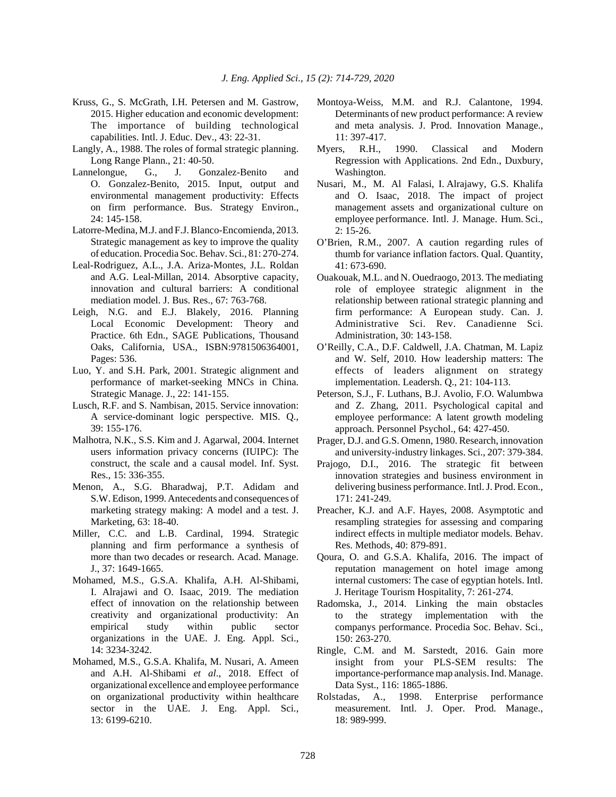- Kruss, G., S. McGrath, I.H. Petersen and M. Gastrow, 2015. Higher education and economic development: The importance of building technological capabilities. Intl. J. Educ. Dev., 43: 22-31.
- Langly, A., 1988. The roles of formal strategic planning. Long Range Plann., 21: 40-50.
- Lannelongue, G., J. Gonzalez-Benito and O. Gonzalez-Benito, 2015. Input, output and environmental management productivity: Effects on firm performance. Bus. Strategy Environ.,  $24 \cdot 145 - 158$
- Latorre-Medina, M.J. and F.J. Blanco-Encomienda, 2013. Strategic management as key to improve the quality of education. Procedia Soc. Behav. Sci., 81: 270-274.
- Leal-Rodriguez, A.L., J.A. Ariza-Montes, J.L. Roldan and A.G. Leal-Millan, 2014. Absorptive capacity, innovation and cultural barriers: A conditional mediation model. J. Bus. Res., 67: 763-768.
- Leigh, N.G. and E.J. Blakely, 2016. Planning Local Economic Development: Theory and Practice. 6th Edn., SAGE Publications, Thousand Oaks, California, USA., ISBN:9781506364001, Pages: 536.
- Luo, Y. and S.H. Park, 2001. Strategic alignment and performance of market-seeking MNCs in China. Strategic Manage. J., 22: 141-155.
- Lusch, R.F. and S. Nambisan, 2015. Service innovation: A service-dominant logic perspective. MIS. Q., 39: 155-176.
- Malhotra, N.K., S.S. Kim and J. Agarwal, 2004. Internet users information privacy concerns (IUIPC): The construct, the scale and a causal model. Inf. Syst. Res., 15: 336-355.
- Menon, A., S.G. Bharadwaj, P.T. Adidam and S.W. Edison, 1999. Antecedents and consequences of marketing strategy making: A model and a test. J. Marketing, 63: 18-40.
- Miller, C.C. and L.B. Cardinal, 1994. Strategic planning and firm performance a synthesis of more than two decades or research. Acad. Manage. J., 37: 1649-1665.
- Mohamed, M.S., G.S.A. Khalifa, A.H. Al-Shibami, I. Alrajawi and O. Isaac, 2019. The mediation effect of innovation on the relationship between creativity and organizational productivity: An empirical study within public sector organizations in the UAE. J. Eng. Appl. Sci., 14: 3234-3242.
- Mohamed, M.S., G.S.A. Khalifa, M. Nusari, A. Ameen and A.H. Al-Shibami *et al*., 2018. Effect of organizational excellence and employee performance on organizational productivity within healthcare sector in the UAE. J. Eng. Appl. Sci., 13: 6199-6210.
- Montoya-Weiss, M.M. and R.J. Calantone, 1994. Determinants of new product performance: A review and meta analysis. J. Prod. Innovation Manage., 11: 397-417.
- Myers, R.H., 1990. Classical and Modern Regression with Applications. 2nd Edn., Duxbury, Washington.
- Nusari, M., M. Al Falasi, I. Alrajawy, G.S. Khalifa and O. Isaac, 2018. The impact of project management assets and organizational culture on employee performance. Intl. J. Manage. Hum. Sci., 2: 15-26.
- O'Brien, R.M., 2007. A caution regarding rules of thumb for variance inflation factors. Qual. Quantity, 41: 673-690.
- Ouakouak, M.L. and N. Ouedraogo, 2013. The mediating role of employee strategic alignment in the relationship between rational strategic planning and firm performance: A European study. Can. J. Administrative Sci. Rev. Canadienne Sci. Administration, 30: 143-158.
- O'Reilly, C.A., D.F. Caldwell, J.A. Chatman, M. Lapiz and W. Self, 2010. How leadership matters: The effects of leaders alignment on strategy implementation. Leadersh. Q., 21: 104-113.
- Peterson, S.J., F. Luthans, B.J. Avolio, F.O. Walumbwa and Z. Zhang, 2011. Psychological capital and employee performance: A latent growth modeling approach. Personnel Psychol., 64: 427-450.
- Prager, D.J. and G.S. Omenn, 1980. Research, innovation and university-industry linkages. Sci., 207: 379-384.
- Prajogo, D.I., 2016. The strategic fit between innovation strategies and business environment in delivering business performance. Intl. J. Prod. Econ., 171: 241-249.
- Preacher, K.J. and A.F. Hayes, 2008. Asymptotic and resampling strategies for assessing and comparing indirect effects in multiple mediator models. Behav. Res. Methods, 40: 879-891.
- Qoura, O. and G.S.A. Khalifa, 2016. The impact of reputation management on hotel image among internal customers: The case of egyptian hotels. Intl. J. Heritage Tourism Hospitality, 7: 261-274.
- Radomska, J., 2014. Linking the main obstacles to the strategy implementation with the companys performance. Procedia Soc. Behav. Sci., 150: 263-270.
- Ringle, C.M. and M. Sarstedt, 2016. Gain more insight from your PLS-SEM results: The importance-performance map analysis. Ind. Manage. Data Syst., 116: 1865-1886.
- Rolstadas, A., 1998. Enterprise performance measurement. Intl. J. Oper. Prod. Manage., 18: 989-999.